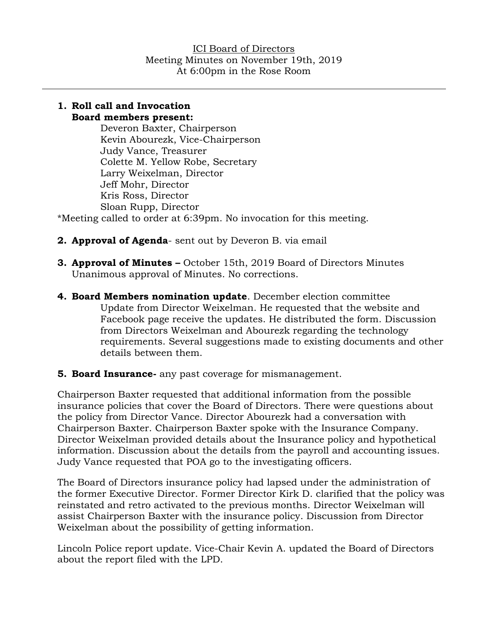#### **1. Roll call and Invocation Board members present:**

Deveron Baxter, Chairperson Kevin Abourezk, Vice-Chairperson Judy Vance, Treasurer Colette M. Yellow Robe, Secretary Larry Weixelman, Director Jeff Mohr, Director Kris Ross, Director Sloan Rupp, Director

\*Meeting called to order at 6:39pm. No invocation for this meeting.

- **2. Approval of Agenda** sent out by Deveron B. via email
- **3. Approval of Minutes –** October 15th, 2019 Board of Directors Minutes Unanimous approval of Minutes. No corrections.
- **4. Board Members nomination update**. December election committee Update from Director Weixelman. He requested that the website and Facebook page receive the updates. He distributed the form. Discussion from Directors Weixelman and Abourezk regarding the technology requirements. Several suggestions made to existing documents and other details between them.
- **5. Board Insurance-** any past coverage for mismanagement.

Chairperson Baxter requested that additional information from the possible insurance policies that cover the Board of Directors. There were questions about the policy from Director Vance. Director Abourezk had a conversation with Chairperson Baxter. Chairperson Baxter spoke with the Insurance Company. Director Weixelman provided details about the Insurance policy and hypothetical information. Discussion about the details from the payroll and accounting issues. Judy Vance requested that POA go to the investigating officers.

The Board of Directors insurance policy had lapsed under the administration of the former Executive Director. Former Director Kirk D. clarified that the policy was reinstated and retro activated to the previous months. Director Weixelman will assist Chairperson Baxter with the insurance policy. Discussion from Director Weixelman about the possibility of getting information.

Lincoln Police report update. Vice-Chair Kevin A. updated the Board of Directors about the report filed with the LPD.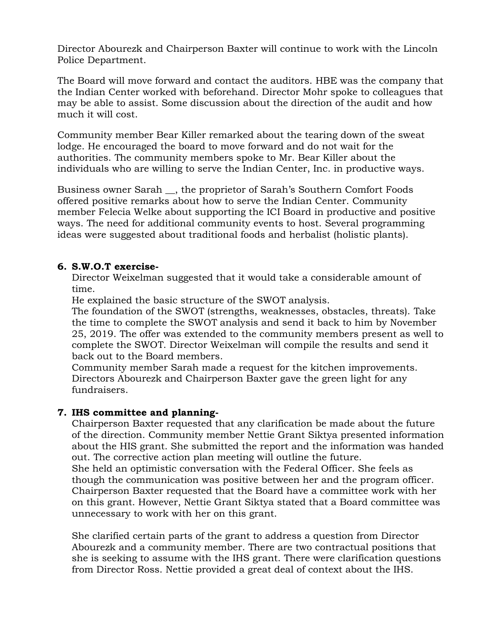Director Abourezk and Chairperson Baxter will continue to work with the Lincoln Police Department.

The Board will move forward and contact the auditors. HBE was the company that the Indian Center worked with beforehand. Director Mohr spoke to colleagues that may be able to assist. Some discussion about the direction of the audit and how much it will cost.

Community member Bear Killer remarked about the tearing down of the sweat lodge. He encouraged the board to move forward and do not wait for the authorities. The community members spoke to Mr. Bear Killer about the individuals who are willing to serve the Indian Center, Inc. in productive ways.

Business owner Sarah \_\_, the proprietor of Sarah's Southern Comfort Foods offered positive remarks about how to serve the Indian Center. Community member Felecia Welke about supporting the ICI Board in productive and positive ways. The need for additional community events to host. Several programming ideas were suggested about traditional foods and herbalist (holistic plants).

### **6. S.W.O.T exercise-**

Director Weixelman suggested that it would take a considerable amount of time.

He explained the basic structure of the SWOT analysis.

The foundation of the SWOT (strengths, weaknesses, obstacles, threats). Take the time to complete the SWOT analysis and send it back to him by November 25, 2019. The offer was extended to the community members present as well to complete the SWOT. Director Weixelman will compile the results and send it back out to the Board members.

Community member Sarah made a request for the kitchen improvements. Directors Abourezk and Chairperson Baxter gave the green light for any fundraisers.

## **7. IHS committee and planning-**

Chairperson Baxter requested that any clarification be made about the future of the direction. Community member Nettie Grant Siktya presented information about the HIS grant. She submitted the report and the information was handed out. The corrective action plan meeting will outline the future.

She held an optimistic conversation with the Federal Officer. She feels as though the communication was positive between her and the program officer. Chairperson Baxter requested that the Board have a committee work with her on this grant. However, Nettie Grant Siktya stated that a Board committee was unnecessary to work with her on this grant.

She clarified certain parts of the grant to address a question from Director Abourezk and a community member. There are two contractual positions that she is seeking to assume with the IHS grant. There were clarification questions from Director Ross. Nettie provided a great deal of context about the IHS.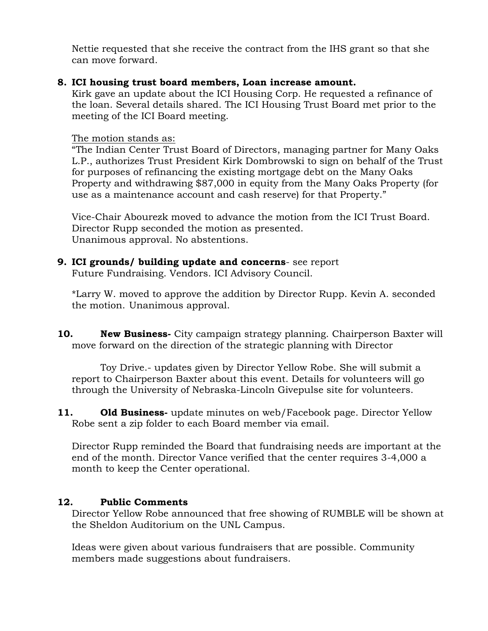Nettie requested that she receive the contract from the IHS grant so that she can move forward.

### **8. ICI housing trust board members, Loan increase amount.**

Kirk gave an update about the ICI Housing Corp. He requested a refinance of the loan. Several details shared. The ICI Housing Trust Board met prior to the meeting of the ICI Board meeting.

The motion stands as:

"The Indian Center Trust Board of Directors, managing partner for Many Oaks L.P., authorizes Trust President Kirk Dombrowski to sign on behalf of the Trust for purposes of refinancing the existing mortgage debt on the Many Oaks Property and withdrawing \$87,000 in equity from the Many Oaks Property (for use as a maintenance account and cash reserve) for that Property."

Vice-Chair Abourezk moved to advance the motion from the ICI Trust Board. Director Rupp seconded the motion as presented. Unanimous approval. No abstentions.

# **9. ICI grounds/ building update and concerns**- see report

Future Fundraising. Vendors. ICI Advisory Council.

\*Larry W. moved to approve the addition by Director Rupp. Kevin A. seconded the motion. Unanimous approval.

**10. New Business-** City campaign strategy planning. Chairperson Baxter will move forward on the direction of the strategic planning with Director

Toy Drive.- updates given by Director Yellow Robe. She will submit a report to Chairperson Baxter about this event. Details for volunteers will go through the University of Nebraska-Lincoln Givepulse site for volunteers.

**11. Old Business-** update minutes on web/Facebook page. Director Yellow Robe sent a zip folder to each Board member via email.

Director Rupp reminded the Board that fundraising needs are important at the end of the month. Director Vance verified that the center requires 3-4,000 a month to keep the Center operational.

## **12. Public Comments**

Director Yellow Robe announced that free showing of RUMBLE will be shown at the Sheldon Auditorium on the UNL Campus.

Ideas were given about various fundraisers that are possible. Community members made suggestions about fundraisers.